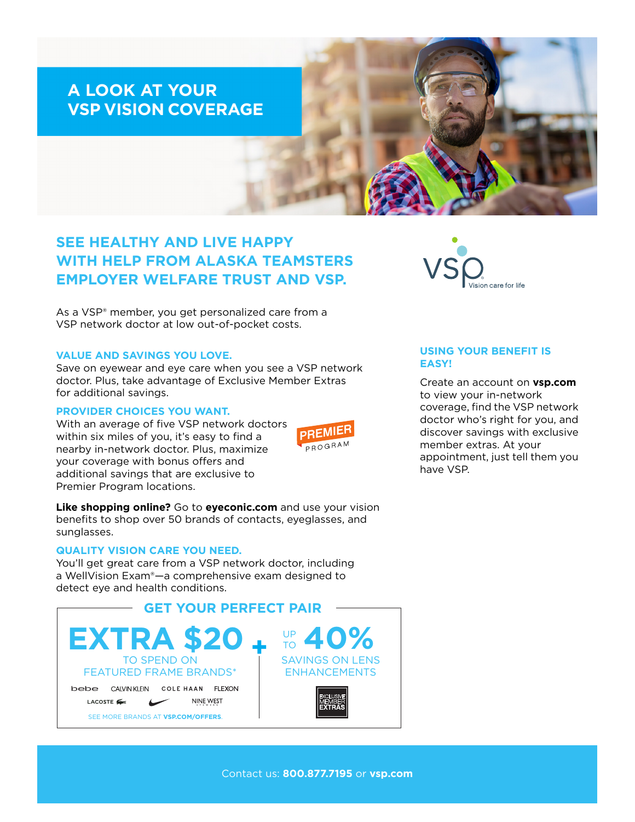# **A LOOK AT YOUR VSP VISION COVERAGE**

# **SEE HEALTHY AND LIVE HAPPY WITH HELP FROM ALASKA TEAMSTERS EMPLOYER WELFARE TRUST AND VSP.**

As a VSP® member, you get personalized care from a VSP network doctor at low out-of-pocket costs.

## **VALUE AND SAVINGS YOU LOVE.**

Save on eyewear and eye care when you see a VSP network doctor. Plus, take advantage of Exclusive Member Extras for additional savings.

#### **PROVIDER CHOICES YOU WANT.**

With an average of five VSP network doctors within six miles of you, it's easy to find a nearby in-network doctor. Plus, maximize your coverage with bonus offers and additional savings that are exclusive to Premier Program locations.



**Like shopping online?** Go to **[eyeconic.com](https://www.eyeconic.com)** and use your vision benefits to shop over 50 brands of contacts, eyeglasses, and sunglasses.

# **QUALITY VISION CARE YOU NEED.**

You'll get great care from a VSP network doctor, including a WellVision Exam®—a comprehensive exam designed to detect eye and health conditions.





## **USING YOUR BENEFIT IS EASY!**

Create an account on **[vsp.com](http://www.vsp.com)** to view your in-network coverage, find the VSP network doctor who's right for you, and discover savings with exclusive member extras. At your appointment, just tell them you have VSP.